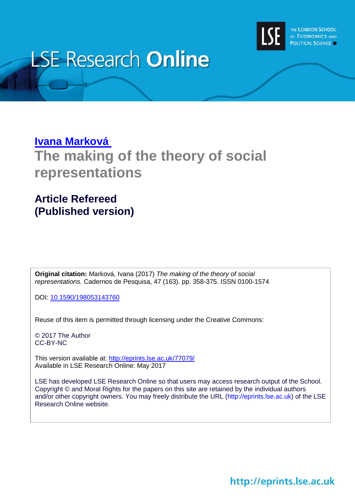

# **LSE Research Online**

### **[Ivana Marková](http://www.lse.ac.uk/DPBS/About-Us/faculty/ivana_markova/Home.aspx) The making of the theory of social representations**

### **Article Refereed (Published version)**

**Original citation:** Marková, Ivana (2017) *The making of the theory of social representations.* Cadernos de Pesquisa, 47 (163). pp. 358-375. ISSN 0100-1574

DOI: [10.1590/198053143760](http://dx.doi.org/10.1590/198053143760)

Reuse of this item is permitted through licensing under the Creative Commons:

© 2017 The Author CC-BY-NC

This version available at: <http://eprints.lse.ac.uk/77079/> Available in LSE Research Online: May 2017

LSE has developed LSE Research Online so that users may access research output of the School. Copyright © and Moral Rights for the papers on this site are retained by the individual authors and/or other copyright owners. You may freely distribute the URL (http://eprints.lse.ac.uk) of the LSE Research Online website.

http://eprints.lse.ac.uk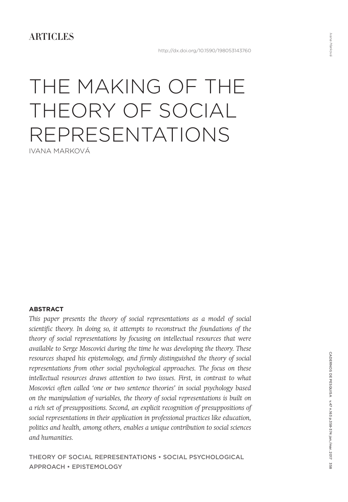**ARTICLES** 

## THE MAKING OF THE THEORY OF SOCIAL REPRESENTATIONS IVANA MARKOVÁ

**ABSTRACT**

This paper presents the theory of social representations as a model of social *scientific theory. In doing so, it attempts to reconstruct the foundations of the theory of social representations by focusing on intellectual resources that were available to Serge Moscovici during the time he was developing the theory. These*  resources shaped his epistemology, and firmly distinguished the theory of social *representations from other social psychological approaches. The focus on these intellectual resources draws attention to two issues. First, in contrast to what Moscovici often called 'one or two sentence theories' in social psychology based on the manipulation of variables, the theory of social representations is built on a rich set of presuppositions. Second, an explicit recognition of presuppositions of social representations in their application in professional practices like education, politics and health, among others, enables a unique contribution to social sciences and humanities.*

THEORY OF SOCIAL REPRESENTATIONS • SOCIAL PSYCHOLOGICAL APPROACH • EPISTEMOLOGY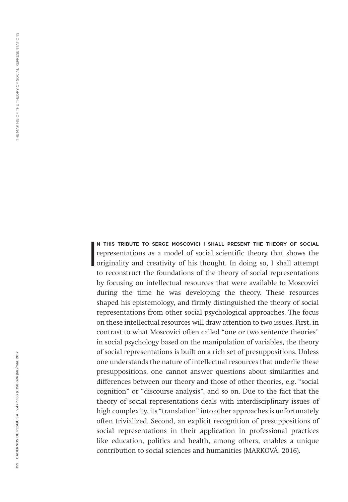N THIS TRIBUTE TO SERGE MOSCOVICI I SHALL PRESENT THE THEORY OF SOCIAL representations as a model of social scientific theory that shows the originality and creativity of his thought. In doing so, I shall attempt N THIS TRIBUTE TO SERGE MOSCOVICI I SHALL PRESENT THE THEORY OF SOCIAL **s r s c** representations as a model of social scientific theory that shows the to reconstruct the foundations of the theory of social representations by focusing on intellectual resources that were available to Moscovici during the time he was developing the theory. These resources shaped his epistemology, and firmly distinguished the theory of social representations from other social psychological approaches. The focus on these intellectual resources will draw attention to two issues. First, in contrast to what Moscovici often called "one or two sentence theories" in social psychology based on the manipulation of variables, the theory of social representations is built on a rich set of presuppositions. Unless one understands the nature of intellectual resources that underlie these presuppositions, one cannot answer questions about similarities and differences between our theory and those of other theories, e.g. "social cognition" or "discourse analysis", and so on. Due to the fact that the theory of social representations deals with interdisciplinary issues of high complexity, its "translation" into other approaches is unfortunately often trivialized. Second, an explicit recognition of presuppositions of social representations in their application in professional practices like education, politics and health, among others, enables a unique contribution to social sciences and humanities (MARKOVÁ, 2016).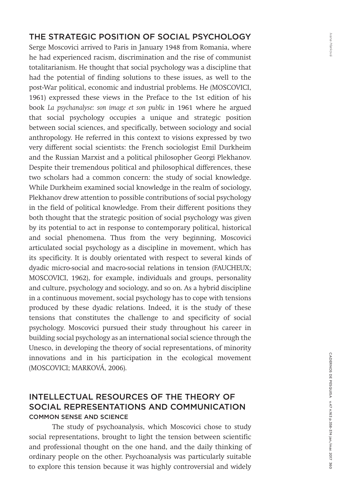#### THE STRATEGIC POSITION OF SOCIAL PSYCHOLOGY

Serge Moscovici arrived to Paris in January 1948 from Romania, where he had experienced racism, discrimination and the rise of communist totalitarianism. He thought that social psychology was a discipline that had the potential of finding solutions to these issues, as well to the post-War political, economic and industrial problems. He (MOSCOVICI, 1961) expressed these views in the Preface to the 1st edition of his book *La psychanalyse: son image et son public* in 1961 where he argued that social psychology occupies a unique and strategic position between social sciences, and specifically, between sociology and social anthropology. He referred in this context to visions expressed by two very different social scientists: the French sociologist Emil Durkheim and the Russian Marxist and a political philosopher Georgi Plekhanov. Despite their tremendous political and philosophical differences, these two scholars had a common concern: the study of social knowledge. While Durkheim examined social knowledge in the realm of sociology, Plekhanov drew attention to possible contributions of social psychology in the field of political knowledge. From their different positions they both thought that the strategic position of social psychology was given by its potential to act in response to contemporary political, historical and social phenomena. Thus from the very beginning, Moscovici articulated social psychology as a discipline in movement, which has its specificity. It is doubly orientated with respect to several kinds of dyadic micro-social and macro-social relations in tension (FAUCHEUX; MOSCOVICI, 1962), for example, individuals and groups, personality and culture, psychology and sociology, and so on. As a hybrid discipline in a continuous movement, social psychology has to cope with tensions produced by these dyadic relations. Indeed, it is the study of these tensions that constitutes the challenge to and specificity of social psychology. Moscovici pursued their study throughout his career in building social psychology as an international social science through the Unesco, in developing the theory of social representations, of minority innovations and in his participation in the ecological movement (MOSCOVICI; MARKOVÁ, 2006).

#### INTELLECTUAL RESOURCES OF THE THEORY OF SOCIAL REPRESENTATIONS AND COMMUNICATION COMMON SENSE AND SCIENCE

The study of psychoanalysis, which Moscovici chose to study social representations, brought to light the tension between scientific and professional thought on the one hand, and the daily thinking of ordinary people on the other. Psychoanalysis was particularly suitable to explore this tension because it was highly controversial and widely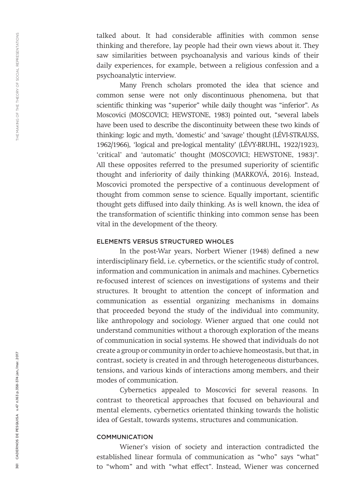talked about. It had considerable affinities with common sense thinking and therefore, lay people had their own views about it. They saw similarities between psychoanalysis and various kinds of their daily experiences, for example, between a religious confession and a psychoanalytic interview.

Many French scholars promoted the idea that science and common sense were not only discontinuous phenomena, but that scientific thinking was "superior" while daily thought was "inferior". As Moscovici (MOSCOVICI; HEWSTONE, 1983) pointed out, "several labels have been used to describe the discontinuity between these two kinds of thinking: logic and myth, 'domestic' and 'savage' thought (LÉVI-STRAUSS, 1962/1966), 'logical and pre-logical mentality' (LÉVY-BRUHL, 1922/1923), 'critical' and 'automatic' thought (MOSCOVICI; HEWSTONE, 1983)". All these opposites referred to the presumed superiority of scientific thought and inferiority of daily thinking (MARKOVÁ, 2016). Instead, Moscovici promoted the perspective of a continuous development of thought from common sense to science. Equally important, scientific thought gets diffused into daily thinking. As is well known, the idea of the transformation of scientific thinking into common sense has been vital in the development of the theory.

#### ELEMENTS VERSUS STRUCTURED WHOLES

In the post-War years, Norbert Wiener (1948) defined a new interdisciplinary field, i.e. cybernetics, or the scientific study of control, information and communication in animals and machines. Cybernetics re-focused interest of sciences on investigations of systems and their structures. It brought to attention the concept of information and communication as essential organizing mechanisms in domains that proceeded beyond the study of the individual into community, like anthropology and sociology. Wiener argued that one could not understand communities without a thorough exploration of the means of communication in social systems. He showed that individuals do not create a group or community in order to achieve homeostasis, but that, in contrast, society is created in and through heterogeneous disturbances, tensions, and various kinds of interactions among members, and their modes of communication.

Cybernetics appealed to Moscovici for several reasons. In contrast to theoretical approaches that focused on behavioural and mental elements, cybernetics orientated thinking towards the holistic idea of Gestalt, towards systems, structures and communication.

#### COMMUNICATION

Wiener's vision of society and interaction contradicted the established linear formula of communication as "who" says "what" to "whom" and with "what effect"*.* Instead, Wiener was concerned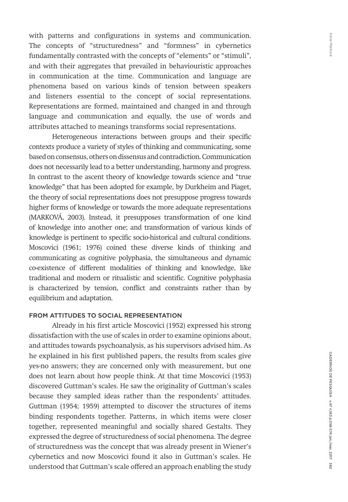with patterns and configurations in systems and communication. The concepts of "structuredness" and "formness" in cybernetics fundamentally contrasted with the concepts of "elements" or "stimuli", and with their aggregates that prevailed in behaviouristic approaches in communication at the time. Communication and language are phenomena based on various kinds of tension between speakers and listeners essential to the concept of social representations. Representations are formed, maintained and changed in and through language and communication and equally, the use of words and attributes attached to meanings transforms social representations.

Heterogeneous interactions between groups and their specific contexts produce a variety of styles of thinking and communicating, some based on consensus, others on dissensus and contradiction. Communication does not necessarily lead to a better understanding, harmony and progress. In contrast to the ascent theory of knowledge towards science and "true knowledge" that has been adopted for example, by Durkheim and Piaget, the theory of social representations does not presuppose progress towards higher forms of knowledge or towards the more adequate representations (MARKOVÁ, 2003). Instead, it presupposes transformation of one kind of knowledge into another one; and transformation of various kinds of knowledge is pertinent to specific socio-historical and cultural conditions. Moscovici (1961; 1976) coined these diverse kinds of thinking and communicating as cognitive polyphasia, the simultaneous and dynamic co-existence of different modalities of thinking and knowledge, like traditional and modern or ritualistic and scientific. Cognitive polyphasia is characterized by tension, conflict and constraints rather than by equilibrium and adaptation.

#### FROM ATTITUDES TO SOCIAL REPRESENTATION

Already in his first article Moscovici (1952) expressed his strong dissatisfaction with the use of scales in order to examine opinions about, and attitudes towards psychoanalysis, as his supervisors advised him. As he explained in his first published papers, the results from scales give yes-no answers; they are concerned only with measurement, but one does not learn about how people think. At that time Moscovici (1953) discovered Guttman's scales. He saw the originality of Guttman's scales because they sampled ideas rather than the respondents' attitudes. Guttman (1954; 1959) attempted to discover the structures of items binding respondents together. Patterns, in which items were closer together, represented meaningful and socially shared Gestalts. They expressed the degree of structuredness of social phenomena. The degree of structuredness was the concept that was already present in Wiener's cybernetics and now Moscovici found it also in Guttman's scales. He understood that Guttman's scale offered an approach enabling the study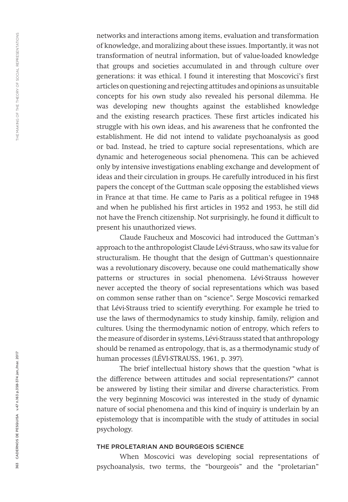networks and interactions among items, evaluation and transformation of knowledge, and moralizing about these issues. Importantly, it was not transformation of neutral information, but of value-loaded knowledge that groups and societies accumulated in and through culture over generations: it was ethical. I found it interesting that Moscovici's first articles on questioning and rejecting attitudes and opinions as unsuitable concepts for his own study also revealed his personal dilemma. He was developing new thoughts against the established knowledge and the existing research practices. These first articles indicated his struggle with his own ideas, and his awareness that he confronted the establishment. He did not intend to validate psychoanalysis as good or bad. Instead, he tried to capture social representations, which are dynamic and heterogeneous social phenomena. This can be achieved only by intensive investigations enabling exchange and development of ideas and their circulation in groups. He carefully introduced in his first papers the concept of the Guttman scale opposing the established views in France at that time. He came to Paris as a political refugee in 1948 and when he published his first articles in 1952 and 1953, he still did not have the French citizenship. Not surprisingly, he found it difficult to present his unauthorized views.

Claude Faucheux and Moscovici had introduced the Guttman's approach to the anthropologist Claude Lévi-Strauss, who saw its value for structuralism. He thought that the design of Guttman's questionnaire was a revolutionary discovery, because one could mathematically show patterns or structures in social phenomena. Lévi-Strauss however never accepted the theory of social representations which was based on common sense rather than on "science". Serge Moscovici remarked that Lévi-Strauss tried to scientify everything. For example he tried to use the laws of thermodynamics to study kinship, family, religion and cultures. Using the thermodynamic notion of entropy, which refers to the measure of disorder in systems, Lévi-Strauss stated that anthropology should be renamed as entropology, that is, as a thermodynamic study of human processes (LÉVI-STRAUSS, 1961, p. 397).

The brief intellectual history shows that the question "what is the difference between attitudes and social representations?" cannot be answered by listing their similar and diverse characteristics. From the very beginning Moscovici was interested in the study of dynamic nature of social phenomena and this kind of inquiry is underlain by an epistemology that is incompatible with the study of attitudes in social psychology.

#### THE PROLETARIAN AND BOURGEOIS SCIENCE

When Moscovici was developing social representations of psychoanalysis, two terms, the "bourgeois" and the "proletarian"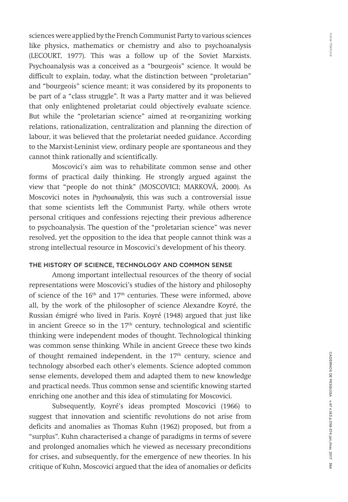Ivana Markova *Ivana Marková*

sciences were applied by the French Communist Party to various sciences like physics, mathematics or chemistry and also to psychoanalysis (LECOURT, 1977). This was a follow up of the Soviet Marxists. Psychoanalysis was a conceived as a "bourgeois" science. It would be difficult to explain, today, what the distinction between "proletarian" and "bourgeois" science meant; it was considered by its proponents to be part of a "class struggle". It was a Party matter and it was believed that only enlightened proletariat could objectively evaluate science. But while the "proletarian science" aimed at re-organizing working relations, rationalization, centralization and planning the direction of labour, it was believed that the proletariat needed guidance. According to the Marxist-Leninist view, ordinary people are spontaneous and they cannot think rationally and scientifically.

Moscovici's aim was to rehabilitate common sense and other forms of practical daily thinking. He strongly argued against the view that "people do not think" (MOSCOVICI; MARKOVÁ, 2000). As Moscovici notes in *Psychoanalysis,* this was such a controversial issue that some scientists left the Communist Party, while others wrote personal critiques and confessions rejecting their previous adherence to psychoanalysis. The question of the "proletarian science" was never resolved, yet the opposition to the idea that people cannot think was a strong intellectual resource in Moscovici's development of his theory.

#### THE HISTORY OF SCIENCE, TECHNOLOGY AND COMMON SENSE

Among important intellectual resources of the theory of social representations were Moscovici's studies of the history and philosophy of science of the 16th and 17th centuries. These were informed, above all, by the work of the philosopher of science Alexandre Koyré, the Russian émigré who lived in Paris. Koyré (1948) argued that just like in ancient Greece so in the  $17<sup>th</sup>$  century, technological and scientific thinking were independent modes of thought. Technological thinking was common sense thinking*.* While in ancient Greece these two kinds of thought remained independent, in the  $17<sup>th</sup>$  century, science and technology absorbed each other's elements. Science adopted common sense elements, developed them and adapted them to new knowledge and practical needs. Thus common sense and scientific knowing started enriching one another and this idea of stimulating for Moscovici.

Subsequently, Koyré's ideas prompted Moscovici (1966) to suggest that innovation and scientific revolutions do not arise from deficits and anomalies as Thomas Kuhn (1962) proposed, but from a "surplus". Kuhn characterised a change of paradigms in terms of severe and prolonged anomalies which he viewed as necessary preconditions for crises, and subsequently, for the emergence of new theories. In his critique of Kuhn, Moscovici argued that the idea of anomalies or deficits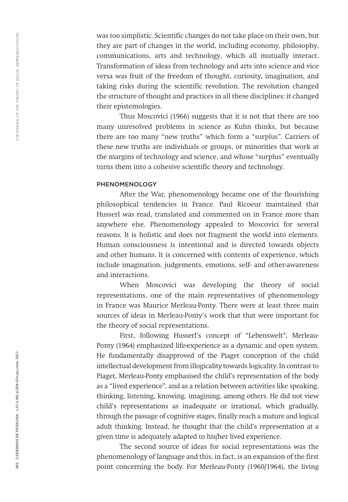was too simplistic. Scientific changes do not take place on their own, but they are part of changes in the world, including economy, philosophy, communications, arts and technology, which all mutually interact. Transformation of ideas from technology and arts into science and vice versa was fruit of the freedom of thought, curiosity, imagination, and taking risks during the scientific revolution. The revolution changed the structure of thought and practices in all these disciplines: it changed their epistemologies.

Thus Moscovici (1966) suggests that it is not that there are too many unresolved problems in science as Kuhn thinks, but because there are too many "new truths" which form a "surplus". Carriers of these new truths are individuals or groups, or minorities that work at the margins of technology and science, and whose "surplus" eventually turns them into a cohesive scientific theory and technology.

#### PHENOMENOLOGY

After the War, phenomenology became one of the flourishing philosophical tendencies in France. Paul Ricoeur maintained that Husserl was read, translated and commented on in France more than anywhere else. Phenomenology appealed to Moscovici for several reasons. It is holistic and does not fragment the world into elements. Human consciousness is intentional and is directed towards objects and other humans. It is concerned with contents of experience, which include imagination, judgements, emotions, self- and other-awareness and interactions.

When Moscovici was developing the theory of social representations, one of the main representatives of phenomenology in France was Maurice Merleau-Ponty. There were at least three main sources of ideas in Merleau-Ponty's work that that were important for the theory of social representations.

First, following Husserl's concept of "Lebenswelt", Merleau-Ponty (1964) emphasized life-experience as a dynamic and open system. He fundamentally disapproved of the Piaget conception of the child intellectual development from illogicality towards logicality. In contrast to Piaget, Merleau-Ponty emphasised the child's representation of the body as a "lived experience"*,* and as a relation between activities like speaking, thinking, listening, knowing, imagining, among others. He did not view child's representations as inadequate or irrational, which gradually, through the passage of cognitive stages, finally reach a mature and logical adult thinking. Instead, he thought that the child's representation at a given time is adequately adapted to his/her lived experience.

The second source of ideas for social representations was the phenomenology of language and this, in fact, is an expansion of the first point concerning the body. For Merleau-Ponty (1960/1964), the living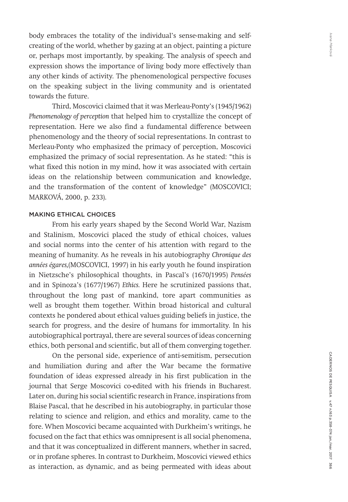body embraces the totality of the individual's sense-making and selfcreating of the world, whether by gazing at an object, painting a picture or, perhaps most importantly, by speaking. The analysis of speech and expression shows the importance of living body more effectively than any other kinds of activity. The phenomenological perspective focuses on the speaking subject in the living community and is orientated towards the future.

Third, Moscovici claimed that it was Merleau-Ponty's (1945/1962) *Phenomenology of perception* that helped him to crystallize the concept of representation. Here we also find a fundamental difference between phenomenology and the theory of social representations. In contrast to Merleau-Ponty who emphasized the primacy of perception, Moscovici emphasized the primacy of social representation. As he stated: "this is what fixed this notion in my mind, how it was associated with certain ideas on the relationship between communication and knowledge, and the transformation of the content of knowledge" (MOSCOVICI; MARKOVÁ, 2000, p. 233).

#### MAKING ETHICAL CHOICES

From his early years shaped by the Second World War, Nazism and Stalinism, Moscovici placed the study of ethical choices, values and social norms into the center of his attention with regard to the meaning of humanity. As he reveals in his autobiography *Chronique des années égares,*(MOSCOVICI, 1997) in his early youth he found inspiration in Nietzsche's philosophical thoughts, in Pascal's (1670/1995) *Pensées*  and in Spinoza's (1677/1967) *Ethics.* Here he scrutinized passions that, throughout the long past of mankind, tore apart communities as well as brought them together. Within broad historical and cultural contexts he pondered about ethical values guiding beliefs in justice, the search for progress, and the desire of humans for immortality. In his autobiographical portrayal, there are several sources of ideas concerning ethics, both personal and scientific, but all of them converging together.

On the personal side, experience of anti-semitism, persecution and humiliation during and after the War became the formative foundation of ideas expressed already in his first publication in the journal that Serge Moscovici co-edited with his friends in Bucharest. Later on, during his social scientific research in France, inspirations from Blaise Pascal, that he described in his autobiography, in particular those relating to science and religion, and ethics and morality, came to the fore. When Moscovici became acquainted with Durkheim's writings, he focused on the fact that ethics was omnipresent is all social phenomena, and that it was conceptualized in different manners, whether in sacred, or in profane spheres. In contrast to Durkheim, Moscovici viewed ethics as interaction, as dynamic, and as being permeated with ideas about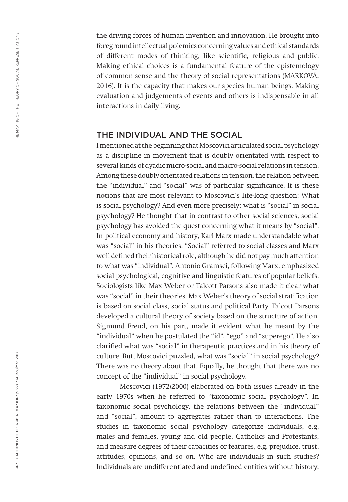the driving forces of human invention and innovation. He brought into foreground intellectual polemics concerning values and ethical standards of different modes of thinking, like scientific, religious and public. Making ethical choices is a fundamental feature of the epistemology of common sense and the theory of social representations (MARKOVÁ, 2016). It is the capacity that makes our species human beings. Making evaluation and judgements of events and others is indispensable in all interactions in daily living.

#### THE INDIVIDUAL AND THE SOCIAL

I mentioned at the beginning that Moscovici articulated social psychology as a discipline in movement that is doubly orientated with respect to several kinds of dyadic micro-social and macro-social relations in tension. Among these doubly orientated relations in tension, the relation between the "individual" and "social" was of particular significance. It is these notions that are most relevant to Moscovici's life-long question: What is social psychology? And even more precisely: what is "social" in social psychology? He thought that in contrast to other social sciences, social psychology has avoided the quest concerning what it means by "social". In political economy and history, Karl Marx made understandable what was "social" in his theories. "Social" referred to social classes and Marx well defined their historical role, although he did not pay much attention to what was "individual". Antonio Gramsci, following Marx, emphasized social psychological, cognitive and linguistic features of popular beliefs. Sociologists like Max Weber or Talcott Parsons also made it clear what was "social" in their theories. Max Weber's theory of social stratification is based on social class, social status and political Party. Talcott Parsons developed a cultural theory of society based on the structure of action. Sigmund Freud, on his part, made it evident what he meant by the "individual" when he postulated the "id", "ego" and "superego". He also clarified what was "social" in therapeutic practices and in his theory of culture. But, Moscovici puzzled, what was "social" in social psychology? There was no theory about that. Equally, he thought that there was no concept of the "individual" in social psychology.

Moscovici (1972/2000) elaborated on both issues already in the early 1970s when he referred to "taxonomic social psychology". In taxonomic social psychology, the relations between the "individual" and "social", amount to aggregates rather than to interactions. The studies in taxonomic social psychology categorize individuals, e.g. males and females, young and old people, Catholics and Protestants, and measure degrees of their capacities or features, e.g. prejudice, trust, attitudes, opinions, and so on. Who are individuals in such studies? Individuals are undifferentiated and undefined entities without history,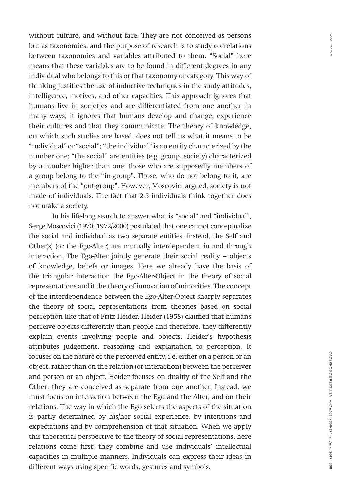without culture, and without face. They are not conceived as persons but as taxonomies, and the purpose of research is to study correlations between taxonomies and variables attributed to them. "Social" here means that these variables are to be found in different degrees in any individual who belongs to this or that taxonomy or category. This way of thinking justifies the use of inductive techniques in the study attitudes, intelligence, motives, and other capacities. This approach ignores that humans live in societies and are differentiated from one another in many ways; it ignores that humans develop and change, experience their cultures and that they communicate. The theory of knowledge, on which such studies are based, does not tell us what it means to be "individual" or "social"; "the individual" is an entity characterized by the number one; "the social" are entities (e.g. group, society) characterized by a number higher than one; those who are supposedly members of a group belong to the "in-group". Those, who do not belong to it, are members of the "out-group". However, Moscovici argued, society is not made of individuals. The fact that 2-3 individuals think together does not make a society.

In his life-long search to answer what is "social" and "individual", Serge Moscovici (1970; 1972/2000) postulated that one cannot conceptualize the social and individual as two separate entities. Instead, the Self and Other(s) (or the Ego-Alter) are mutually interdependent in and through interaction. The Ego-Alter jointly generate their social reality – objects of knowledge, beliefs or images. Here we already have the basis of the triangular interaction the Ego-Alter-Object in the theory of social representations and it the theory of innovation of minorities. The concept of the interdependence between the Ego-Alter-Object sharply separates the theory of social representations from theories based on social perception like that of Fritz Heider. Heider (1958) claimed that humans perceive objects differently than people and therefore, they differently explain events involving people and objects. Heider's hypothesis attributes judgement, reasoning and explanation to perception. It focuses on the nature of the perceived entity, i.e. either on a person or an object, rather than on the relation (or interaction) between the perceiver and person or an object. Heider focuses on duality of the Self and the Other: they are conceived as separate from one another. Instead, we must focus on interaction between the Ego and the Alter, and on their relations. The way in which the Ego selects the aspects of the situation is partly determined by his/her social experience, by intentions and expectations and by comprehension of that situation. When we apply this theoretical perspective to the theory of social representations, here relations come first; they combine and use individuals' intellectual capacities in multiple manners. Individuals can express their ideas in different ways using specific words, gestures and symbols.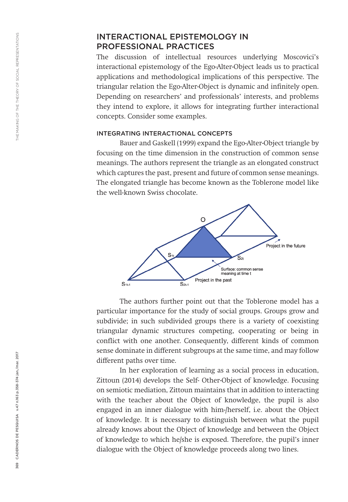#### INTERACTIONAL EPISTEMOLOGY IN PROFESSIONAL PRACTICES

The discussion of intellectual resources underlying Moscovici's interactional epistemology of the Ego-Alter-Object leads us to practical applications and methodological implications of this perspective. The triangular relation the Ego-Alter-Object is dynamic and infinitely open. Depending on researchers' and professionals' interests, and problems they intend to explore, it allows for integrating further interactional concepts. Consider some examples.

#### INTEGRATING INTERACTIONAL CONCEPTS

Bauer and Gaskell (1999) expand the Ego-Alter-Object triangle by focusing on the time dimension in the construction of common sense meanings. The authors represent the triangle as an elongated construct which captures the past, present and future of common sense meanings. The elongated triangle has become known as the Toblerone model like the well-known Swiss chocolate.



The authors further point out that the Toblerone model has a particular importance for the study of social groups. Groups grow and subdivide; in such subdivided groups there is a variety of coexisting triangular dynamic structures competing, cooperating or being in conflict with one another. Consequently, different kinds of common sense dominate in different subgroups at the same time, and may follow different paths over time.

In her exploration of learning as a social process in education, Zittoun (2014) develops the Self- Other-Object of knowledge. Focusing on semiotic mediation, Zittoun maintains that in addition to interacting with the teacher about the Object of knowledge, the pupil is also engaged in an inner dialogue with him-/herself, i.e. about the Object of knowledge. It is necessary to distinguish between what the pupil already knows about the Object of knowledge and between the Object of knowledge to which he/she is exposed. Therefore, the pupil's inner dialogue with the Object of knowledge proceeds along two lines.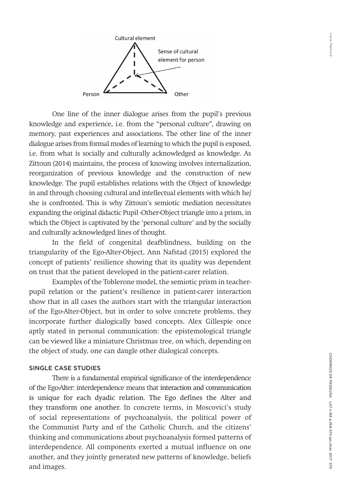

One line of the inner dialogue arises from the pupil's previous knowledge and experience, i.e. from the "personal culture", drawing on memory, past experiences and associations. The other line of the inner dialogue arises from formal modes of learning to which the pupil is exposed, i.e. from what is socially and culturally acknowledged as knowledge. As Zittoun (2014) maintains, the process of knowing involves internalization, reorganization of previous knowledge and the construction of new knowledge. The pupil establishes relations with the Object of knowledge in and through choosing cultural and intellectual elements with which he/ she is confronted. This is why Zittoun's semiotic mediation necessitates expanding the original didactic Pupil -Other-Object triangle into a prism, in which the Object is captivated by the 'personal culture' and by the socially and culturally acknowledged lines of thought.

In the field of congenital deafblindness, building on the triangularity of the Ego-Alter-Object, Ann Nafstad (2015) explored the concept of patients' resilience showing that its quality was dependent on trust that the patient developed in the patient-carer relation.

Examples of the Toblerone model, the semiotic prism in teacherpupil relation or the patient's resilience in patient-carer interaction show that in all cases the authors start with the triangular interaction of the Ego-Alter-Object, but in order to solve concrete problems, they incorporate further dialogically based concepts. Alex Gillespie once aptly stated in personal communication: the epistemological triangle can be viewed like a miniature Christmas tree, on which, depending on the object of study, one can dangle other dialogical concepts.

#### SINGLE CASE STUDIES

There is a fundamental empirical significance of the interdependence of the Ego-Alter: interdependence means that interaction and communication is unique for each dyadic relation. The Ego defines the Alter and they transform one another. In concrete terms, in Moscovici's study of social representations of psychoanalysis, the political power of the Communist Party and of the Catholic Church, and the citizens' thinking and communications about psychoanalysis formed patterns of interdependence. All components exerted a mutual influence on one another, and they jointly generated new patterns of knowledge, beliefs and images.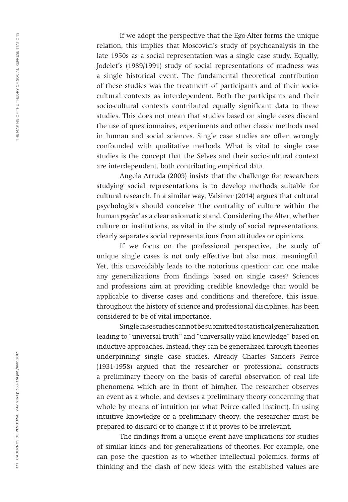If we adopt the perspective that the Ego-Alter forms the unique relation, this implies that Moscovici's study of psychoanalysis in the late 1950s as a social representation was a single case study. Equally, Jodelet's (1989/1991) study of social representations of madness was a single historical event. The fundamental theoretical contribution of these studies was the treatment of participants and of their sociocultural contexts as interdependent. Both the participants and their socio-cultural contexts contributed equally significant data to these studies. This does not mean that studies based on single cases discard the use of questionnaires, experiments and other classic methods used in human and social sciences. Single case studies are often wrongly confounded with qualitative methods. What is vital to single case studies is the concept that the Selves and their socio-cultural context are interdependent, both contributing empirical data.

Angela Arruda (2003) insists that the challenge for researchers studying social representations is to develop methods suitable for cultural research. In a similar way, Valsiner (2014) argues that cultural psychologists should conceive 'the centrality of culture within the human *psyche'* as a clear axiomatic stand. Considering the Alter, whether culture or institutions, as vital in the study of social representations, clearly separates social representations from attitudes or opinions.

If we focus on the professional perspective, the study of unique single cases is not only effective but also most meaningful. Yet, this unavoidably leads to the notorious question: can one make any generalizations from findings based on single cases? Sciences and professions aim at providing credible knowledge that would be applicable to diverse cases and conditions and therefore, this issue, throughout the history of science and professional disciplines, has been considered to be of vital importance.

Single case studies cannot be submitted to statistical generalization leading to "universal truth" and "universally valid knowledge" based on inductive approaches. Instead, they can be generalized through theories underpinning single case studies. Already Charles Sanders Peirce (1931-1958) argued that the researcher or professional constructs a preliminary theory on the basis of careful observation of real life phenomena which are in front of him/her. The researcher observes an event as a whole, and devises a preliminary theory concerning that whole by means of intuition (or what Peirce called instinct). In using intuitive knowledge or a preliminary theory, the researcher must be prepared to discard or to change it if it proves to be irrelevant.

The findings from a unique event have implications for studies of similar kinds and for generalizations of theories. For example, one can pose the question as to whether intellectual polemics, forms of thinking and the clash of new ideas with the established values are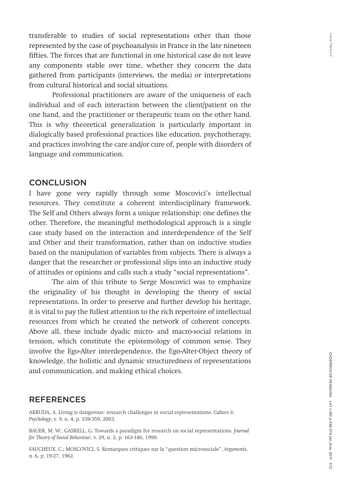transferable to studies of social representations other than those represented by the case of psychoanalysis in France in the late nineteen fifties. The forces that are functional in one historical case do not leave any components stable over time, whether they concern the data gathered from participants (interviews, the media) or interpretations from cultural historical and social situations.

Professional practitioners are aware of the uniqueness of each individual and of each interaction between the client/patient on the one hand, and the practitioner or therapeutic team on the other hand. This is why theoretical generalization is particularly important in dialogically based professional practices like education, psychotherapy, and practices involving the care and/or cure of, people with disorders of language and communication.

#### **CONCLUSION**

I have gone very rapidly through some Moscovici's intellectual resources. They constitute a coherent interdisciplinary framework. The Self and Others always form a unique relationship: one defines the other. Therefore, the meaningful methodological approach is a single case study based on the interaction and interdependence of the Self and Other and their transformation, rather than on inductive studies based on the manipulation of variables from subjects. There is always a danger that the researcher or professional slips into an inductive study of attitudes or opinions and calls such a study "social representations".

The aim of this tribute to Serge Moscovici was to emphasize the originality of his thought in developing the theory of social representations. In order to preserve and further develop his heritage, it is vital to pay the fullest attention to the rich repertoire of intellectual resources from which he created the network of coherent concepts. Above all, these include dyadic micro- and macro-social relations in tension, which constitute the epistemology of common sense. They involve the Ego-Alter interdependence, the Ego-Alter-Object theory of knowledge, the holistic and dynamic structuredness of representations and communication, and making ethical choices.

#### **REFERENCES**

ARRUDA, A. Living is dangerous: research challenges in social representations. *Culture & Psychology*, v. 9, n. 4, p. 339-359, 2003.

BAUER, M. W.; GASKELL, G. Towards a paradigm for research on social representations. *Journal for Theory of Social Behaviour*, v. 29, n. 2, p. 163-186, 1999.

FAUCHEUX, C.; MOSCOVICI, S. Remarques critiques sur la "question microsociale". *Arguments*, n. 6, p. 19-27, 1962.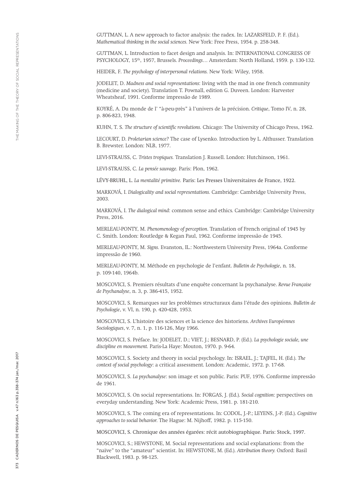GUTTMAN, L. Introduction to facet design and analysis. In: INTERNATIONAL CONGRESS OF PSYCHOLOGY, 15th, 1957, Brussels*. Proceedings…* Amsterdam: North Holland, 1959. p. 130-132.

HEIDER, F. *The psychology of interpersonal relations.* New York: Wiley, 1958.

JODELET, D. *Madness and social representations*: living with the mad in one french community (medicine and society). Translation T. Pownall, edition G. Duveen. London: Harvester Wheatsheaf, 1991. Conforme impressão de 1989.

KOYRÉ, A. Du monde de l' "à-peu-près" à l'univers de la précision. *Critique*, Tomo IV, n. 28, p. 806-823, 1948.

KUHN, T. S. *The structure of scientific revolutions.* Chicago: The University of Chicago Press, 1962.

LECOURT, D. *Proletarian science?* The case of Lysenko*.* Introduction by L. Althusser. Translation B. Brewster. London: NLB, 1977.

LEVI-STRAUSS, C. *Tristes tropiques.* Translation J. Russell. London: Hutchinson, 1961.

LEVI-STRAUSS, C. *La pensée sauvage.* Paris: Plon, 1962.

LÉVY-BRUHL, L. *La mentalité primitive.* Paris: Les Presses Universitaires de France, 1922.

MARKOVÁ, I. *Dialogicality and social representations.* Cambridge: Cambridge University Press, 2003.

MARKOVÁ, I. *The dialogical mind*: common sense and ethics*.* Cambridge: Cambridge University Press, 2016.

MERLEAU-PONTY, M. *Phenomenology of perception*. Translation of French original of 1945 by C. Smith. London: Routledge & Kegan Paul, 1962. Conforme impressão de 1945.

MERLEAU-PONTY, M. *Signs.* Evanston, IL.: Northwestern University Press, 1964a. Conforme impressão de 1960.

MERLEAU-PONTY, M. Méthode en psychologie de l'enfant. *Bulletin de Psychologie*, n. 18, p. 109-140, 1964b.

MOSCOVICI, S. Premiers résultats d'une enquête concernant la psychanalyse. *Revue Française de Psychanalyse*, n. 3, p. 386-415, 1952.

MOSCOVICI, S. Remarques sur les problèmes structuraux dans l'étude des opinions. *Bulletin de Psychologie*, v. VI, n. 190, p. 420-428, 1953.

MOSCOVICI, S. L'histoire des sciences et la science des historiens. *Archives Européennes Sociologiques*, v. 7, n. 1, p. 116-126, May 1966.

MOSCOVICI, S. Préface. In: JODELET, D.; VIET, J.; BESNARD, P. (Ed.). *La psychologie sociale, une discipline en mouvement.* Paris-La Haye: Mouton, 1970. p. 9-64.

MOSCOVICI, S. Society and theory in social psychology. In: ISRAEL, J.; TAJFEL, H. (Ed.). *The context of social psychology*: a critical assessment*.* London: Academic, 1972. p. 17-68.

MOSCOVICI, S. *La psychanalyse*: son image et son public*.* Paris: PUF, 1976. Conforme impressão de 1961.

MOSCOVICI, S. On social representations. In: FORGAS, J. (Ed.). *Social cognition*: perspectives on everyday understanding*.* New York: Academic Press, 1981. p. 181-210.

MOSCOVICI, S. The coming era of representations. In: CODOL, J.-P.; LEYENS, J.-P. (Ed.). *Cognitive approaches to social behavior.* The Hague: M. Nijhoff, 1982. p. 115-150.

MOSCOVICI, S. Chronique des années égarées: récit autobiographique. Paris: Stock, 1997.

MOSCOVICI, S.; HEWSTONE, M. Social representations and social explanations: from the "naïve" to the "amateur" scientist. In: HEWSTONE, M. (Ed.). *Attribution theory.* Oxford: Basil Blackwell, 1983. p. 98-125.